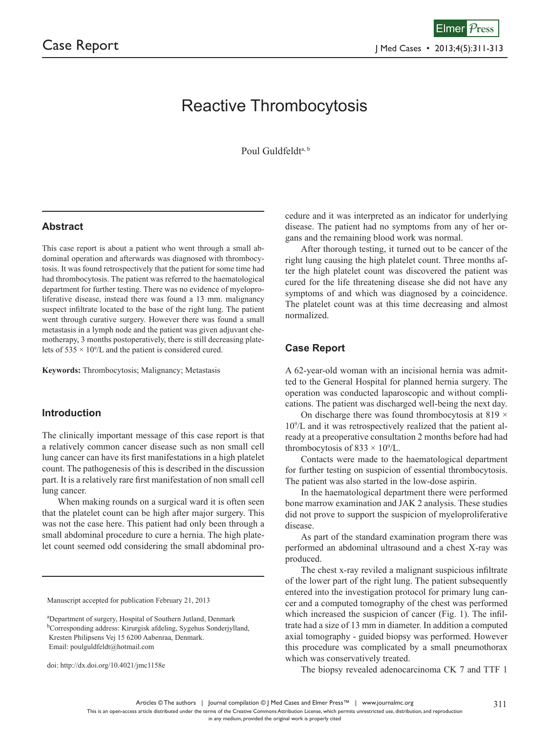# Reactive Thrombocytosis

Poul Guldfeldt<sup>a, b</sup>

# **Abstract**

This case report is about a patient who went through a small abdominal operation and afterwards was diagnosed with thrombocytosis. It was found retrospectively that the patient for some time had had thrombocytosis. The patient was referred to the haematological department for further testing. There was no evidence of myeloproliferative disease, instead there was found a 13 mm. malignancy suspect infiltrate located to the base of the right lung. The patient went through curative surgery. However there was found a small metastasis in a lymph node and the patient was given adjuvant chemotherapy, 3 months postoperatively, there is still decreasing platelets of  $535 \times 10^9$ /L and the patient is considered cured.

**Keywords:** Thrombocytosis; Malignancy; Metastasis

## **Introduction**

The clinically important message of this case report is that a relatively common cancer disease such as non small cell lung cancer can have its first manifestations in a high platelet count. The pathogenesis of this is described in the discussion part. It is a relatively rare first manifestation of non small cell lung cancer.

When making rounds on a surgical ward it is often seen that the platelet count can be high after major surgery. This was not the case here. This patient had only been through a small abdominal procedure to cure a hernia. The high platelet count seemed odd considering the small abdominal pro-

Manuscript accepted for publication February 21, 2013

Email: poulguldfeldt@hotmail.com

doi: http://dx.doi.org/10.4021/jmc1158e

cedure and it was interpreted as an indicator for underlying disease. The patient had no symptoms from any of her organs and the remaining blood work was normal.

After thorough testing, it turned out to be cancer of the right lung causing the high platelet count. Three months after the high platelet count was discovered the patient was cured for the life threatening disease she did not have any symptoms of and which was diagnosed by a coincidence. The platelet count was at this time decreasing and almost normalized.

#### **Case Report**

A 62-year-old woman with an incisional hernia was admitted to the General Hospital for planned hernia surgery. The operation was conducted laparoscopic and without complications. The patient was discharged well-being the next day.

On discharge there was found thrombocytosis at 819  $\times$ 109 /L and it was retrospectively realized that the patient already at a preoperative consultation 2 months before had had thrombocytosis of 833  $\times$  10<sup>9</sup>/L.

Contacts were made to the haematological department for further testing on suspicion of essential thrombocytosis. The patient was also started in the low-dose aspirin.

In the haematological department there were performed bone marrow examination and JAK 2 analysis. These studies did not prove to support the suspicion of myeloproliferative disease.

As part of the standard examination program there was performed an abdominal ultrasound and a chest X-ray was produced.

The chest x-ray reviled a malignant suspicious infiltrate of the lower part of the right lung. The patient subsequently entered into the investigation protocol for primary lung cancer and a computed tomography of the chest was performed which increased the suspicion of cancer (Fig. 1). The infiltrate had a size of 13 mm in diameter. In addition a computed axial tomography - guided biopsy was performed. However this procedure was complicated by a small pneumothorax which was conservatively treated.

The biopsy revealed adenocarcinoma CK 7 and TTF 1

Articles © The authors | Journal compilation © J Med Cases and Elmer Press™ | www.journalmc.org

This is an open-access article distributed under the terms of the Creative Commons Attribution License, which permits unrestricted use, distribution, and reproduction in any medium, provided the original work is properly cited

a Department of surgery, Hospital of Southern Jutland, Denmark

b Corresponding address: Kirurgisk afdeling, Sygehus Sonderjylland, Kresten Philipsens Vej 15 6200 Aabenraa, Denmark.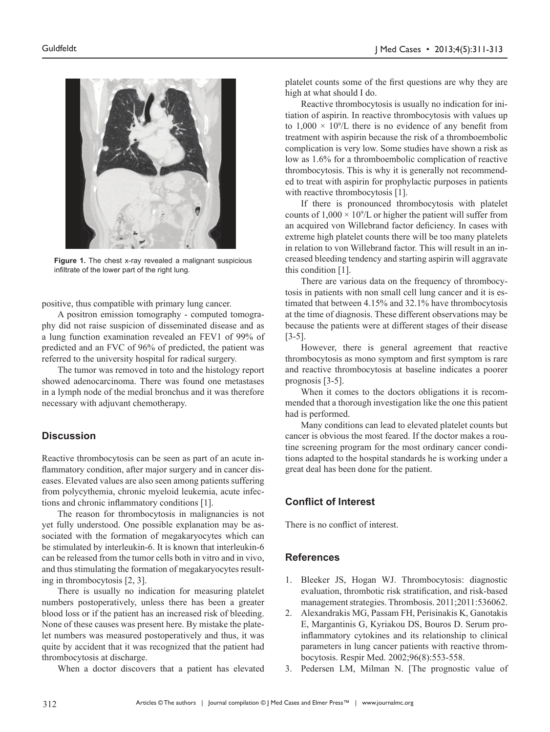



**Figure 1.** The chest x-ray revealed a malignant suspicious infiltrate of the lower part of the right lung.

positive, thus compatible with primary lung cancer.

A positron emission tomography - computed tomography did not raise suspicion of disseminated disease and as a lung function examination revealed an FEV1 of 99% of predicted and an FVC of 96% of predicted, the patient was referred to the university hospital for radical surgery.

The tumor was removed in toto and the histology report showed adenocarcinoma. There was found one metastases in a lymph node of the medial bronchus and it was therefore necessary with adjuvant chemotherapy.

## **Discussion**

Reactive thrombocytosis can be seen as part of an acute inflammatory condition, after major surgery and in cancer diseases. Elevated values are also seen among patients suffering from polycythemia, chronic myeloid leukemia, acute infections and chronic inflammatory conditions [1].

The reason for thrombocytosis in malignancies is not yet fully understood. One possible explanation may be associated with the formation of megakaryocytes which can be stimulated by interleukin-6. It is known that interleukin-6 can be released from the tumor cells both in vitro and in vivo, and thus stimulating the formation of megakaryocytes resulting in thrombocytosis [2, 3].

There is usually no indication for measuring platelet numbers postoperatively, unless there has been a greater blood loss or if the patient has an increased risk of bleeding. None of these causes was present here. By mistake the platelet numbers was measured postoperatively and thus, it was quite by accident that it was recognized that the patient had thrombocytosis at discharge.

When a doctor discovers that a patient has elevated

platelet counts some of the first questions are why they are high at what should I do.

Reactive thrombocytosis is usually no indication for initiation of aspirin. In reactive thrombocytosis with values up to  $1,000 \times 10^9$ /L there is no evidence of any benefit from treatment with aspirin because the risk of a thromboembolic complication is very low. Some studies have shown a risk as low as 1.6% for a thromboembolic complication of reactive thrombocytosis. This is why it is generally not recommended to treat with aspirin for prophylactic purposes in patients with reactive thrombocytosis [1].

If there is pronounced thrombocytosis with platelet counts of  $1,000 \times 10^9$ /L or higher the patient will suffer from an acquired von Willebrand factor deficiency. In cases with extreme high platelet counts there will be too many platelets in relation to von Willebrand factor. This will result in an increased bleeding tendency and starting aspirin will aggravate this condition [1].

There are various data on the frequency of thrombocytosis in patients with non small cell lung cancer and it is estimated that between 4.15% and 32.1% have thrombocytosis at the time of diagnosis. These different observations may be because the patients were at different stages of their disease [3-5].

However, there is general agreement that reactive thrombocytosis as mono symptom and first symptom is rare and reactive thrombocytosis at baseline indicates a poorer prognosis [3-5].

When it comes to the doctors obligations it is recommended that a thorough investigation like the one this patient had is performed.

Many conditions can lead to elevated platelet counts but cancer is obvious the most feared. If the doctor makes a routine screening program for the most ordinary cancer conditions adapted to the hospital standards he is working under a great deal has been done for the patient.

# **Conflict of Interest**

There is no conflict of interest.

# **References**

- 1. Bleeker JS, Hogan WJ. Thrombocytosis: diagnostic evaluation, thrombotic risk stratification, and risk-based management strategies. Thrombosis. 2011;2011:536062.
- 2. Alexandrakis MG, Passam FH, Perisinakis K, Ganotakis E, Margantinis G, Kyriakou DS, Bouros D. Serum proinflammatory cytokines and its relationship to clinical parameters in lung cancer patients with reactive thrombocytosis. Respir Med. 2002;96(8):553-558.
- 3. Pedersen LM, Milman N. [The prognostic value of